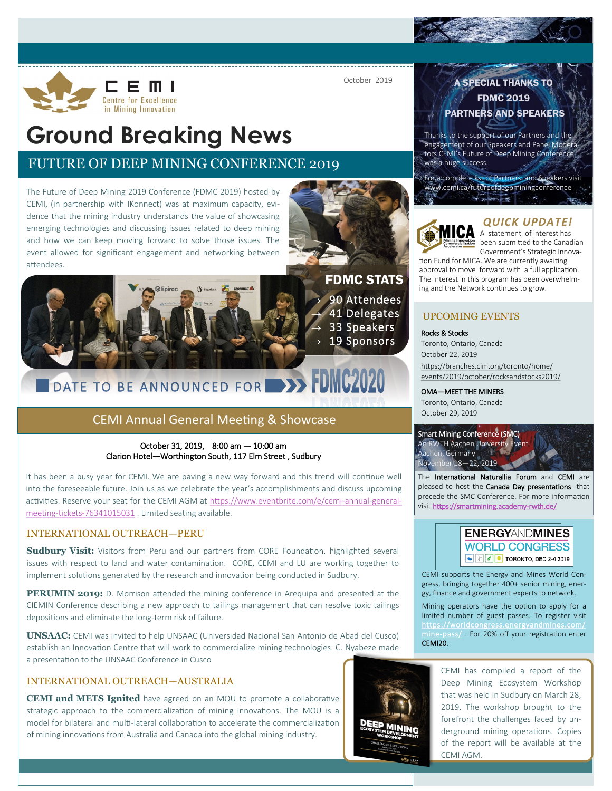

October 2019

# **Ground Breaking News**

# FUTURE OF DEEP MINING CONFERENCE 2019

The Future of Deep Mining 2019 Conference (FDMC 2019) hosted by CEMI, (in partnership with IKonnect) was at maximum capacity, evidence that the mining industry understands the value of showcasing emerging technologies and discussing issues related to deep mining and how we can keep moving forward to solve those issues. The event allowed for significant engagement and networking between attendees.





# DATE TO BE ANNOUNCED FOR **DE FUNC2020**

## CEMI Annual General Meeting & Showcase

#### October 31, 2019, 8:00 am — 10:00 am Clarion Hotel—Worthington South, 117 Elm Street , Sudbury

It has been a busy year for CEMI. We are paving a new way forward and this trend will continue well into the foreseeable future. Join us as we celebrate the year's accomplishments and discuss upcoming activities. Reserve your seat for the CEMI AGM at [https://www.eventbrite.com/e/cemi](https://www.eventbrite.com/e/cemi-annual-general-meeting-tickets-76341015031)-annual-generalmeeting-tickets-[76341015031](https://www.eventbrite.com/e/cemi-annual-general-meeting-tickets-76341015031) . Limited seating available.

#### INTERNATIONAL OUTREACH—PERU

**Sudbury Visit:** Visitors from Peru and our partners from CORE Foundation, highlighted several issues with respect to land and water contamination. CORE, CEMI and LU are working together to implement solutions generated by the research and innovation being conducted in Sudbury.

**PERUMIN 2019:** D. Morrison attended the mining conference in Arequipa and presented at the CIEMIN Conference describing a new approach to tailings management that can resolve toxic tailings depositions and eliminate the long-term risk of failure.

**UNSAAC:** CEMI was invited to help UNSAAC (Universidad Nacional San Antonio de Abad del Cusco) establish an Innovation Centre that will work to commercialize mining technologies. C. Nyabeze made a presentation to the UNSAAC Conference in Cusco

## INTERNATIONAL OUTREACH—AUSTRALIA

**CEMI and METS Ignited** have agreed on an MOU to promote a collaborative strategic approach to the commercialization of mining innovations. The MOU is a model for bilateral and multi-lateral collaboration to accelerate the commercialization of mining innovations from Australia and Canada into the global mining industry.



## A SPECIAL THANKS TO FDMC 2019

### PARTNERS AND SPEAKERS

Thanks to the support of our Partners and the engagement of our Speakers and Panel Moderators CEMI's Future of Deep Mining Conference was a huge success.

For a complete list of Partners and Speakers visit [www.cemi.ca/futureofdeepminingconference](http://www.cemi.ca/futureofdeepminingconference)



### *QUICK UPDATE!*

 $\blacksquare$  A statement of interest has **been submitted to the Canadian** Government's Strategic Innova-

tion Fund for MICA. We are currently awaiting approval to move forward with a full application. The interest in this program has been overwhelming and the Network continues to grow.

#### UPCOMING EVENTS

Rocks & Stocks Toronto, Ontario, Canada October 22, 2019 [https://branches.cim.org/toronto/home/](https://branches.cim.org/toronto/home/events/2019/october/rocksandstocks2019/) [events/2019/october/rocksandstocks2019/](https://branches.cim.org/toronto/home/events/2019/october/rocksandstocks2019/)

#### OMA—MEET THE MINERS

Toronto, Ontario, Canada October 29, 2019



The International Naturallia Forum and CEMI are pleased to host the Canada Day presentations that precede the SMC Conference. For more information visit [https://smartmining.academy](https://smartmining.academy-rwth.de/)-rwth.de/



CEMI supports the Energy and Mines World Congress, bringing together 400+ senior mining, energy, finance and government experts to network.

Mining operators have the option to apply for a limited number of guest passes. To register visit [https://worldcongress.energyandmines.com/](https://worldcongress.energyandmines.com/mine-pass/) mine-[pass/](https://worldcongress.energyandmines.com/mine-pass/) . For 20% off your registration enter CEMI20.

> CEMI has compiled a report of the Deep Mining Ecosystem Workshop that was held in Sudbury on March 28, 2019. The workshop brought to the forefront the challenges faced by underground mining operations. Copies of the report will be available at the CEMI AGM.